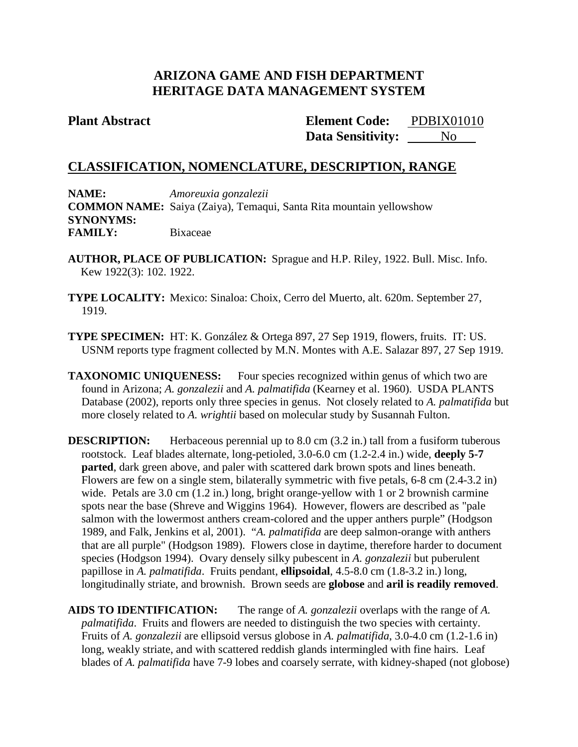# **ARIZONA GAME AND FISH DEPARTMENT HERITAGE DATA MANAGEMENT SYSTEM**

**Plant Abstract Element Code: Data Sensitivity:** No PDBIX01010

## **CLASSIFICATION, NOMENCLATURE, DESCRIPTION, RANGE**

**NAME:** *Amoreuxia gonzalezii* **COMMON NAME:** Saiya (Zaiya), Temaqui, Santa Rita mountain yellowshow **SYNONYMS: FAMILY:** Bixaceae

- **AUTHOR, PLACE OF PUBLICATION:** Sprague and H.P. Riley, 1922. Bull. Misc. Info. Kew 1922(3): 102. 1922.
- **TYPE LOCALITY:** Mexico: Sinaloa: Choix, Cerro del Muerto, alt. 620m. September 27, 1919.
- **TYPE SPECIMEN:** HT: K. González & Ortega 897, 27 Sep 1919, flowers, fruits. IT: US. USNM reports type fragment collected by M.N. Montes with A.E. Salazar 897, 27 Sep 1919.
- **TAXONOMIC UNIQUENESS:** Four species recognized within genus of which two are found in Arizona; *A. gonzalezii* and *A. palmatifida* (Kearney et al. 1960). USDA PLANTS Database (2002), reports only three species in genus. Not closely related to *A. palmatifida* but more closely related to *A. wrightii* based on molecular study by Susannah Fulton.
- **DESCRIPTION:** Herbaceous perennial up to 8.0 cm (3.2 in.) tall from a fusiform tuberous rootstock. Leaf blades alternate, long-petioled, 3.0-6.0 cm (1.2-2.4 in.) wide, **deeply 5-7 parted**, dark green above, and paler with scattered dark brown spots and lines beneath. Flowers are few on a single stem, bilaterally symmetric with five petals, 6-8 cm (2.4-3.2 in) wide. Petals are 3.0 cm (1.2 in.) long, bright orange-yellow with 1 or 2 brownish carmine spots near the base (Shreve and Wiggins 1964). However, flowers are described as "pale salmon with the lowermost anthers cream-colored and the upper anthers purple" (Hodgson 1989, and Falk, Jenkins et al, 2001). "*A. palmatifida* are deep salmon-orange with anthers that are all purple" (Hodgson 1989). Flowers close in daytime, therefore harder to document species (Hodgson 1994). Ovary densely silky pubescent in *A. gonzalezii* but puberulent papillose in *A. palmatifida*. Fruits pendant, **ellipsoidal**, 4.5-8.0 cm (1.8-3.2 in.) long, longitudinally striate, and brownish. Brown seeds are **globose** and **aril is readily removed**.

**AIDS TO IDENTIFICATION:** The range of *A. gonzalezii* overlaps with the range of *A. palmatifida*. Fruits and flowers are needed to distinguish the two species with certainty. Fruits of *A. gonzalezii* are ellipsoid versus globose in *A. palmatifida*, 3.0-4.0 cm (1.2-1.6 in) long, weakly striate, and with scattered reddish glands intermingled with fine hairs. Leaf blades of *A. palmatifida* have 7-9 lobes and coarsely serrate, with kidney-shaped (not globose)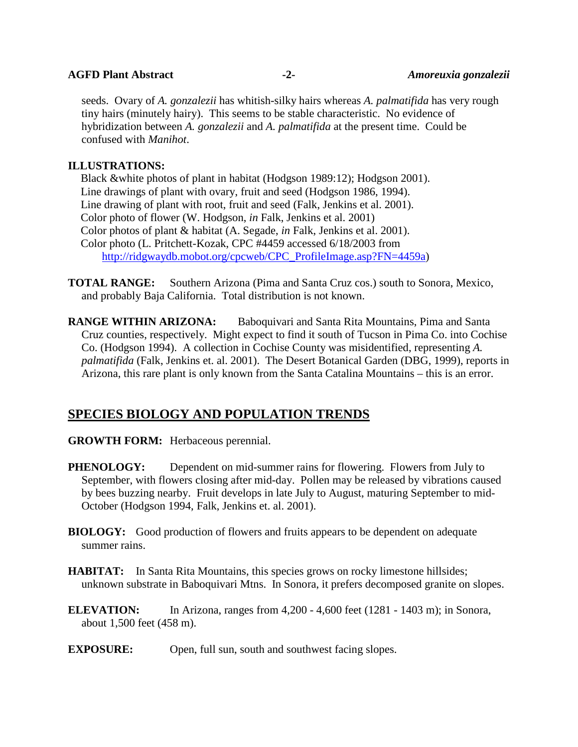**AGFD Plant Abstract -2-** *Amoreuxia gonzalezii*

seeds. Ovary of *A. gonzalezii* has whitish-silky hairs whereas *A. palmatifida* has very rough tiny hairs (minutely hairy). This seems to be stable characteristic. No evidence of hybridization between *A. gonzalezii* and *A. palmatifida* at the present time. Could be confused with *Manihot*.

## **ILLUSTRATIONS:**

Black &white photos of plant in habitat (Hodgson 1989:12); Hodgson 2001). Line drawings of plant with ovary, fruit and seed (Hodgson 1986, 1994). Line drawing of plant with root, fruit and seed (Falk, Jenkins et al. 2001). Color photo of flower (W. Hodgson, *in* Falk, Jenkins et al. 2001) Color photos of plant & habitat (A. Segade, *in* Falk, Jenkins et al. 2001). Color photo (L. Pritchett-Kozak, CPC #4459 accessed 6/18/2003 from [http://ridgwaydb.mobot.org/cpcweb/CPC\\_ProfileImage.asp?FN=4459a\)](http://ridgwaydb.mobot.org/cpcweb/CPC_ProfileImage.asp?FN=4459a)

**TOTAL RANGE:** Southern Arizona (Pima and Santa Cruz cos.) south to Sonora, Mexico, and probably Baja California. Total distribution is not known.

**RANGE WITHIN ARIZONA:** Baboquivari and Santa Rita Mountains, Pima and Santa Cruz counties, respectively. Might expect to find it south of Tucson in Pima Co. into Cochise Co. (Hodgson 1994). A collection in Cochise County was misidentified, representing *A. palmatifida* (Falk, Jenkins et. al. 2001). The Desert Botanical Garden (DBG, 1999), reports in Arizona, this rare plant is only known from the Santa Catalina Mountains – this is an error.

## **SPECIES BIOLOGY AND POPULATION TRENDS**

- **GROWTH FORM:** Herbaceous perennial.
- **PHENOLOGY:** Dependent on mid-summer rains for flowering. Flowers from July to September, with flowers closing after mid-day. Pollen may be released by vibrations caused by bees buzzing nearby. Fruit develops in late July to August, maturing September to mid-October (Hodgson 1994, Falk, Jenkins et. al. 2001).
- **BIOLOGY:** Good production of flowers and fruits appears to be dependent on adequate summer rains.
- **HABITAT:** In Santa Rita Mountains, this species grows on rocky limestone hillsides; unknown substrate in Baboquivari Mtns. In Sonora, it prefers decomposed granite on slopes.
- **ELEVATION:** In Arizona, ranges from 4,200 4,600 feet (1281 1403 m); in Sonora, about 1,500 feet (458 m).
- **EXPOSURE:** Open, full sun, south and southwest facing slopes.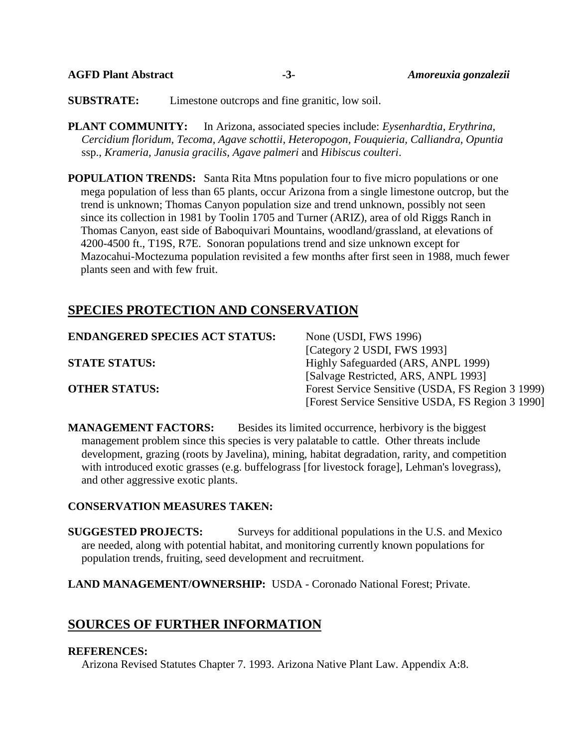**SUBSTRATE:** Limestone outcrops and fine granitic, low soil.

**PLANT COMMUNITY:** In Arizona, associated species include: *Eysenhardtia, Erythrina, Cercidium floridum, Tecoma, Agave schottii, Heteropogon, Fouquieria, Calliandra, Opuntia* ssp., *Krameria, Janusia gracilis, Agave palmeri* and *Hibiscus coulteri*.

**POPULATION TRENDS:** Santa Rita Mtns population four to five micro populations or one mega population of less than 65 plants, occur Arizona from a single limestone outcrop, but the trend is unknown; Thomas Canyon population size and trend unknown, possibly not seen since its collection in 1981 by Toolin 1705 and Turner (ARIZ), area of old Riggs Ranch in Thomas Canyon, east side of Baboquivari Mountains, woodland/grassland, at elevations of 4200-4500 ft., T19S, R7E. Sonoran populations trend and size unknown except for Mazocahui-Moctezuma population revisited a few months after first seen in 1988, much fewer plants seen and with few fruit.

# **SPECIES PROTECTION AND CONSERVATION**

| <b>ENDANGERED SPECIES ACT STATUS:</b> | None (USDI, FWS 1996)                             |
|---------------------------------------|---------------------------------------------------|
|                                       | [Category 2 USDI, FWS 1993]                       |
| <b>STATE STATUS:</b>                  | Highly Safeguarded (ARS, ANPL 1999)               |
|                                       | [Salvage Restricted, ARS, ANPL 1993]              |
| <b>OTHER STATUS:</b>                  | Forest Service Sensitive (USDA, FS Region 3 1999) |
|                                       | [Forest Service Sensitive USDA, FS Region 3 1990] |

**MANAGEMENT FACTORS:** Besides its limited occurrence, herbivory is the biggest management problem since this species is very palatable to cattle. Other threats include development, grazing (roots by Javelina), mining, habitat degradation, rarity, and competition with introduced exotic grasses (e.g. buffelograss [for livestock forage], Lehman's lovegrass), and other aggressive exotic plants.

### **CONSERVATION MEASURES TAKEN:**

**SUGGESTED PROJECTS:** Surveys for additional populations in the U.S. and Mexico are needed, along with potential habitat, and monitoring currently known populations for population trends, fruiting, seed development and recruitment.

**LAND MANAGEMENT/OWNERSHIP:** USDA - Coronado National Forest; Private.

## **SOURCES OF FURTHER INFORMATION**

#### **REFERENCES:**

Arizona Revised Statutes Chapter 7. 1993. Arizona Native Plant Law. Appendix A:8.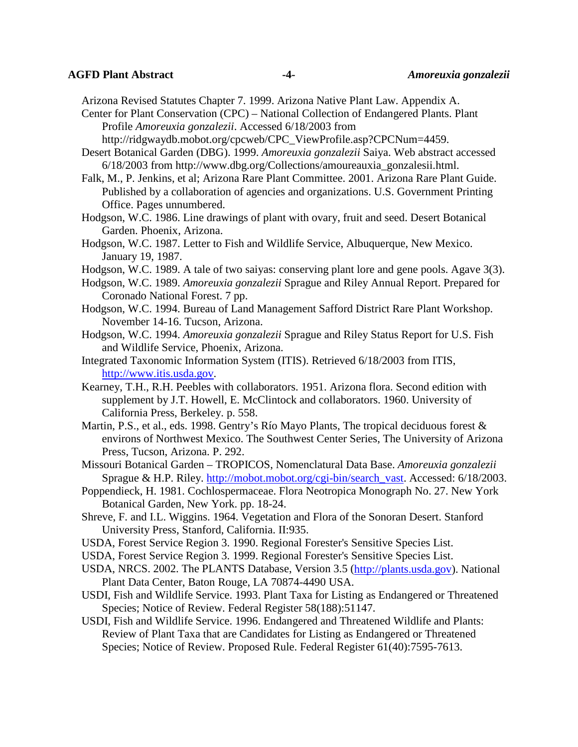#### **AGFD Plant Abstract -4-** *Amoreuxia gonzalezii*

Arizona Revised Statutes Chapter 7. 1999. Arizona Native Plant Law. Appendix A.

Center for Plant Conservation (CPC) – National Collection of Endangered Plants. Plant Profile *Amoreuxia gonzalezii*. Accessed 6/18/2003 from

http://ridgwaydb.mobot.org/cpcweb/CPC\_ViewProfile.asp?CPCNum=4459.

Desert Botanical Garden (DBG). 1999. *Amoreuxia gonzalezii* Saiya. Web abstract accessed 6/18/2003 from http://www.dbg.org/Collections/amoureauxia\_gonzalesii.html.

Falk, M., P. Jenkins, et al; Arizona Rare Plant Committee. 2001. Arizona Rare Plant Guide. Published by a collaboration of agencies and organizations. U.S. Government Printing Office. Pages unnumbered.

Hodgson, W.C. 1986. Line drawings of plant with ovary, fruit and seed. Desert Botanical Garden. Phoenix, Arizona.

Hodgson, W.C. 1987. Letter to Fish and Wildlife Service, Albuquerque, New Mexico. January 19, 1987.

Hodgson, W.C. 1989. A tale of two saiyas: conserving plant lore and gene pools. Agave 3(3).

- Hodgson, W.C. 1989. *Amoreuxia gonzalezii* Sprague and Riley Annual Report. Prepared for Coronado National Forest. 7 pp.
- Hodgson, W.C. 1994. Bureau of Land Management Safford District Rare Plant Workshop. November 14-16. Tucson, Arizona.
- Hodgson, W.C. 1994. *Amoreuxia gonzalezii* Sprague and Riley Status Report for U.S. Fish and Wildlife Service, Phoenix, Arizona.
- Integrated Taxonomic Information System (ITIS). Retrieved 6/18/2003 from ITIS, [http://www.itis.usda.gov.](http://www.itis.usda.gov/)
- Kearney, T.H., R.H. Peebles with collaborators. 1951. Arizona flora. Second edition with supplement by J.T. Howell, E. McClintock and collaborators. 1960. University of California Press, Berkeley. p. 558.
- Martin, P.S., et al., eds. 1998. Gentry's Río Mayo Plants, The tropical deciduous forest & environs of Northwest Mexico. The Southwest Center Series, The University of Arizona Press, Tucson, Arizona. P. 292.
- Missouri Botanical Garden TROPICOS, Nomenclatural Data Base. *Amoreuxia gonzalezii* Sprague & H.P. Riley. [http://mobot.mobot.org/cgi-bin/search\\_vast.](http://mobot.mobot.org/cgi-bin/search_vast) Accessed: 6/18/2003.
- Poppendieck, H. 1981. Cochlospermaceae. Flora Neotropica Monograph No. 27. New York Botanical Garden, New York. pp. 18-24.
- Shreve, F. and I.L. Wiggins. 1964. Vegetation and Flora of the Sonoran Desert. Stanford University Press, Stanford, California. II:935.
- USDA, Forest Service Region 3. 1990. Regional Forester's Sensitive Species List.
- USDA, Forest Service Region 3. 1999. Regional Forester's Sensitive Species List.
- USDA, NRCS. 2002. The PLANTS Database, Version 3.5 [\(http://plants.usda.gov\)](http://plants.usda.gov/). National Plant Data Center, Baton Rouge, LA 70874-4490 USA.
- USDI, Fish and Wildlife Service. 1993. Plant Taxa for Listing as Endangered or Threatened Species; Notice of Review. Federal Register 58(188):51147.
- USDI, Fish and Wildlife Service. 1996. Endangered and Threatened Wildlife and Plants: Review of Plant Taxa that are Candidates for Listing as Endangered or Threatened Species; Notice of Review. Proposed Rule. Federal Register 61(40):7595-7613.